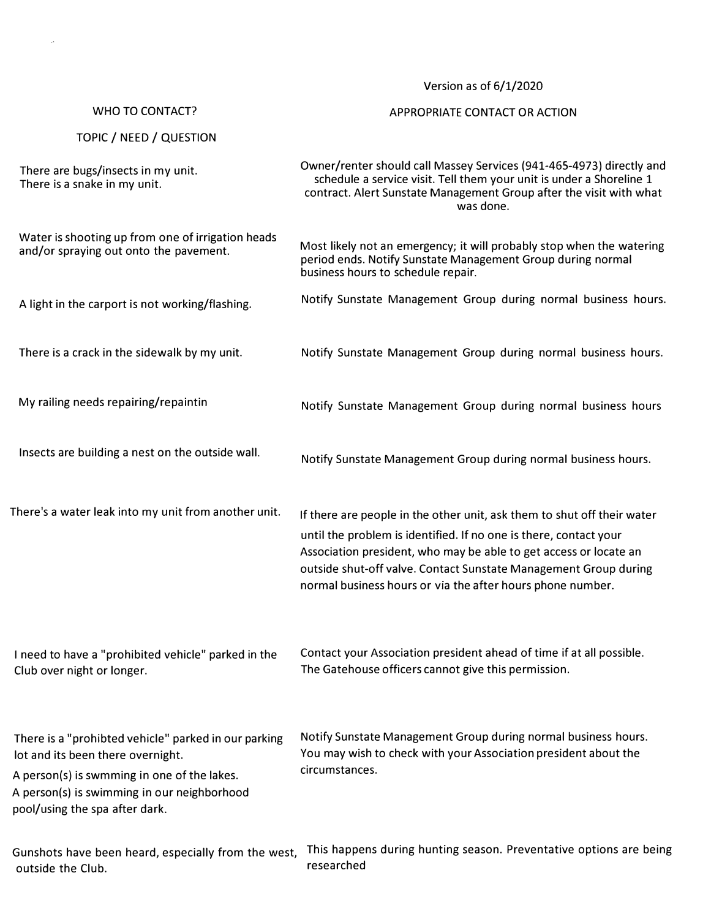Version as of 6/1/2020

## WHO TO CONTACT?

## APPROPRIATE CONTACT OR ACTION

|  |  | TOPIC / NEED / QUESTION |
|--|--|-------------------------|
|--|--|-------------------------|

There are bugs/insects in my unit. There is a snake in my unit.

Owner/renter should call Massey Services (941-465-4973) directly and schedule a service visit. Tell them your unit is under a Shoreline 1 contract. Alert Sunstate Management Group after the visit with what was done.

Notify Sunstate Management Group during normal business hours

Notify Sunstate Management Group during normal business hours.

Water is shooting up from one of irrigation heads and/or spraying out onto the pavement. A light in the carport is not working/flashing. Most likely not an emergency; it will probably stop when the watering period ends. Notify Sunstate Management Group during normal business hours to schedule repair. Notify Sunstate Management Group during normal business hours.

There is a crack in the sidewalk by my unit. Notify Sunstate Management Group during normal business hours.

My railing needs repairing/repaintin

Insects are building a nest on the outside wall.

There's a water leak into my unit from another unit. If there are people in the other unit, ask them to shut off their water

until the problem is identified. If no one is there, contact your Association president, who may be able to get access or locate an outside shut-off valve. Contact Sunstate Management Group during

I need to have a "prohibited vehicle" parked in the Club over night or longer.

Contact your Association president ahead of time if at all possible. The Gatehouse officers cannot give this permission.

normal business hours or via the after hours phone number.

There is a "prohibted vehicle" parked in our parking lot and its been there overnight. Notify Sunstate Management Group during normal business hours. You may wish to check with your Association president about the circumstances. A person(s) is swmming in one of the lakes.

A person(s) is swimming in our neighborhood pool/using the spa after dark.

Gunshots have been heard, especially from the west, This happens during hunting season. Preventative options are being outside the Club. researched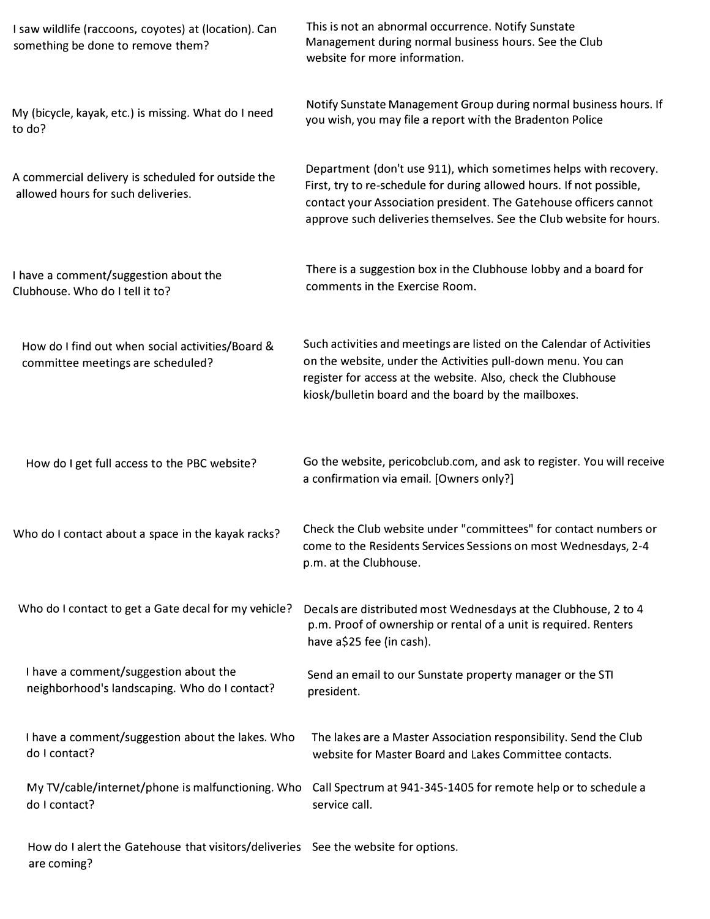| I saw wildlife (raccoons, coyotes) at (location). Can<br>something be done to remove them?        | This is not an abnormal occurrence. Notify Sunstate<br>Management during normal business hours. See the Club<br>website for more information.                                                                                                                                        |
|---------------------------------------------------------------------------------------------------|--------------------------------------------------------------------------------------------------------------------------------------------------------------------------------------------------------------------------------------------------------------------------------------|
| My (bicycle, kayak, etc.) is missing. What do I need<br>to do?                                    | Notify Sunstate Management Group during normal business hours. If<br>you wish, you may file a report with the Bradenton Police                                                                                                                                                       |
| A commercial delivery is scheduled for outside the<br>allowed hours for such deliveries.          | Department (don't use 911), which sometimes helps with recovery.<br>First, try to re-schedule for during allowed hours. If not possible,<br>contact your Association president. The Gatehouse officers cannot<br>approve such deliveries themselves. See the Club website for hours. |
| I have a comment/suggestion about the<br>Clubhouse. Who do I tell it to?                          | There is a suggestion box in the Clubhouse lobby and a board for<br>comments in the Exercise Room.                                                                                                                                                                                   |
| How do I find out when social activities/Board &<br>committee meetings are scheduled?             | Such activities and meetings are listed on the Calendar of Activities<br>on the website, under the Activities pull-down menu. You can<br>register for access at the website. Also, check the Clubhouse<br>kiosk/bulletin board and the board by the mailboxes.                       |
| How do I get full access to the PBC website?                                                      | Go the website, pericobclub.com, and ask to register. You will receive<br>a confirmation via email. [Owners only?]                                                                                                                                                                   |
| Who do I contact about a space in the kayak racks?                                                | Check the Club website under "committees" for contact numbers or<br>come to the Residents Services Sessions on most Wednesdays, 2-4<br>p.m. at the Clubhouse.                                                                                                                        |
| Who do I contact to get a Gate decal for my vehicle?                                              | Decals are distributed most Wednesdays at the Clubhouse, 2 to 4<br>p.m. Proof of ownership or rental of a unit is required. Renters<br>have a\$25 fee (in cash).                                                                                                                     |
| I have a comment/suggestion about the<br>neighborhood's landscaping. Who do I contact?            | Send an email to our Sunstate property manager or the STI<br>president.                                                                                                                                                                                                              |
| I have a comment/suggestion about the lakes. Who<br>do I contact?                                 | The lakes are a Master Association responsibility. Send the Club<br>website for Master Board and Lakes Committee contacts.                                                                                                                                                           |
| My TV/cable/internet/phone is malfunctioning. Who<br>do I contact?                                | Call Spectrum at 941-345-1405 for remote help or to schedule a<br>service call.                                                                                                                                                                                                      |
| How do I alert the Gatehouse that visitors/deliveries See the website for options.<br>are coming? |                                                                                                                                                                                                                                                                                      |